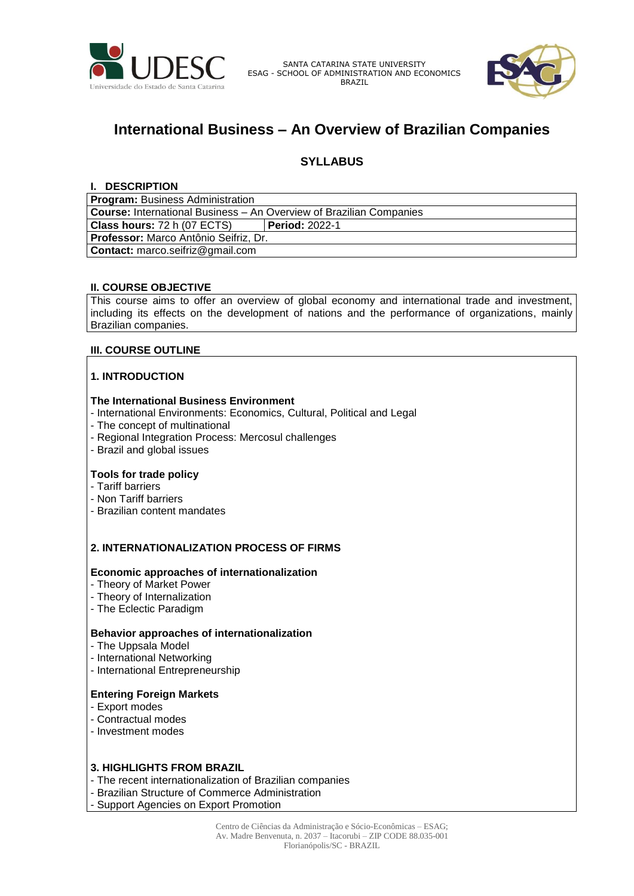

SANTA CATARINA STATE UNIVERSITY ESAG - SCHOOL OF ADMINISTRATION AND ECONOMICS BRAZIL



# **International Business – An Overview of Brazilian Companies**

# **SYLLABUS**

## **I. DESCRIPTION**

| <b>Program: Business Administration</b>                                    |                       |  |
|----------------------------------------------------------------------------|-----------------------|--|
| <b>Course:</b> International Business – An Overview of Brazilian Companies |                       |  |
| <b>Class hours: 72 h (07 ECTS)</b>                                         | <b>Period: 2022-1</b> |  |
| Professor: Marco Antônio Seifriz, Dr.                                      |                       |  |
| <b>Contact:</b> marco.seifriz@gmail.com                                    |                       |  |

# **II. COURSE OBJECTIVE**

This course aims to offer an overview of global economy and international trade and investment, including its effects on the development of nations and the performance of organizations, mainly Brazilian companies.

# **III. COURSE OUTLINE**

# **1. INTRODUCTION**

### **The International Business Environment**

- International Environments: Economics, Cultural, Political and Legal
- The concept of multinational
- Regional Integration Process: Mercosul challenges
- Brazil and global issues

## **Tools for trade policy**

- Tariff barriers
- Non Tariff barriers
- Brazilian content mandates

# **2. INTERNATIONALIZATION PROCESS OF FIRMS**

#### **Economic approaches of internationalization**

- Theory of Market Power
- Theory of Internalization
- The Eclectic Paradigm

# **Behavior approaches of internationalization**

- The Uppsala Model
- International Networking
- International Entrepreneurship

### **Entering Foreign Markets**

- Export modes
- Contractual modes
- Investment modes

### **3. HIGHLIGHTS FROM BRAZIL**

- The recent internationalization of Brazilian companies
- Brazilian Structure of Commerce Administration

- Support Agencies on Export Promotion